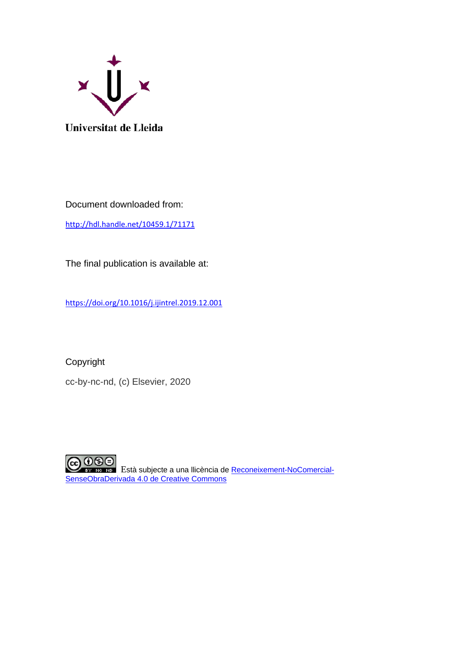

Document downloaded from:

<http://hdl.handle.net/10459.1/71171>

The final publication is available at:

<https://doi.org/10.1016/j.ijintrel.2019.12.001>

Copyright

cc-by-nc-nd, (c) Elsevier, 2020

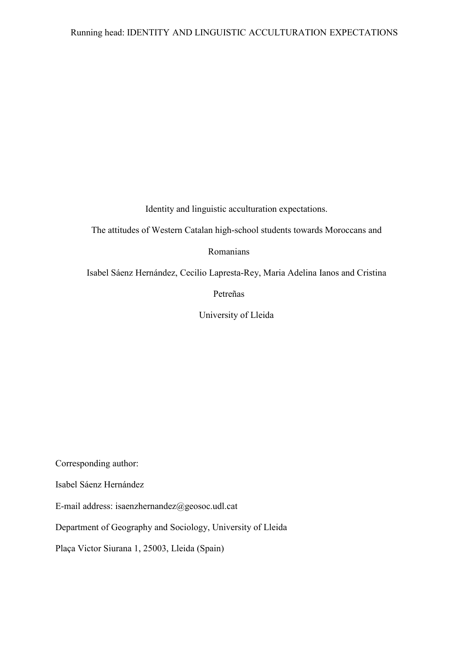Identity and linguistic acculturation expectations.

The attitudes of Western Catalan high-school students towards Moroccans and

Romanians

Isabel Sáenz Hernández, Cecilio Lapresta-Rey, Maria Adelina Ianos and Cristina

Petreñas

University of Lleida

Corresponding author:

Isabel Sáenz Hernández

E-mail address: isaenzhernandez@geosoc.udl.cat

Department of Geography and Sociology, University of Lleida

Plaça Victor Siurana 1, 25003, Lleida (Spain)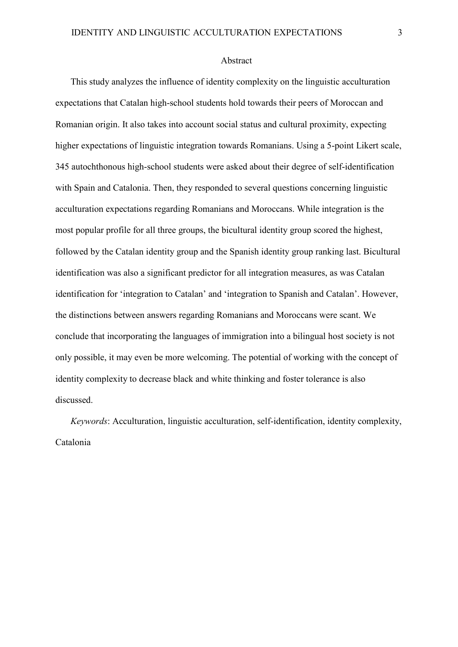#### Abstract

This study analyzes the influence of identity complexity on the linguistic acculturation expectations that Catalan high-school students hold towards their peers of Moroccan and Romanian origin. It also takes into account social status and cultural proximity, expecting higher expectations of linguistic integration towards Romanians. Using a 5-point Likert scale, 345 autochthonous high-school students were asked about their degree of self-identification with Spain and Catalonia. Then, they responded to several questions concerning linguistic acculturation expectations regarding Romanians and Moroccans. While integration is the most popular profile for all three groups, the bicultural identity group scored the highest, followed by the Catalan identity group and the Spanish identity group ranking last. Bicultural identification was also a significant predictor for all integration measures, as was Catalan identification for 'integration to Catalan' and 'integration to Spanish and Catalan'. However, the distinctions between answers regarding Romanians and Moroccans were scant. We conclude that incorporating the languages of immigration into a bilingual host society is not only possible, it may even be more welcoming. The potential of working with the concept of identity complexity to decrease black and white thinking and foster tolerance is also discussed.

*Keywords*: Acculturation, linguistic acculturation, self-identification, identity complexity, Catalonia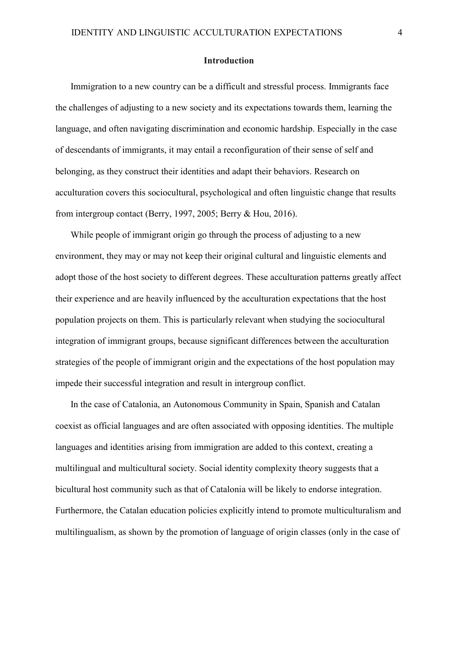#### **Introduction**

Immigration to a new country can be a difficult and stressful process. Immigrants face the challenges of adjusting to a new society and its expectations towards them, learning the language, and often navigating discrimination and economic hardship. Especially in the case of descendants of immigrants, it may entail a reconfiguration of their sense of self and belonging, as they construct their identities and adapt their behaviors. Research on acculturation covers this sociocultural, psychological and often linguistic change that results from intergroup contact (Berry, 1997, 2005; Berry & Hou, 2016).

While people of immigrant origin go through the process of adjusting to a new environment, they may or may not keep their original cultural and linguistic elements and adopt those of the host society to different degrees. These acculturation patterns greatly affect their experience and are heavily influenced by the acculturation expectations that the host population projects on them. This is particularly relevant when studying the sociocultural integration of immigrant groups, because significant differences between the acculturation strategies of the people of immigrant origin and the expectations of the host population may impede their successful integration and result in intergroup conflict.

In the case of Catalonia, an Autonomous Community in Spain, Spanish and Catalan coexist as official languages and are often associated with opposing identities. The multiple languages and identities arising from immigration are added to this context, creating a multilingual and multicultural society. Social identity complexity theory suggests that a bicultural host community such as that of Catalonia will be likely to endorse integration. Furthermore, the Catalan education policies explicitly intend to promote multiculturalism and multilingualism, as shown by the promotion of language of origin classes (only in the case of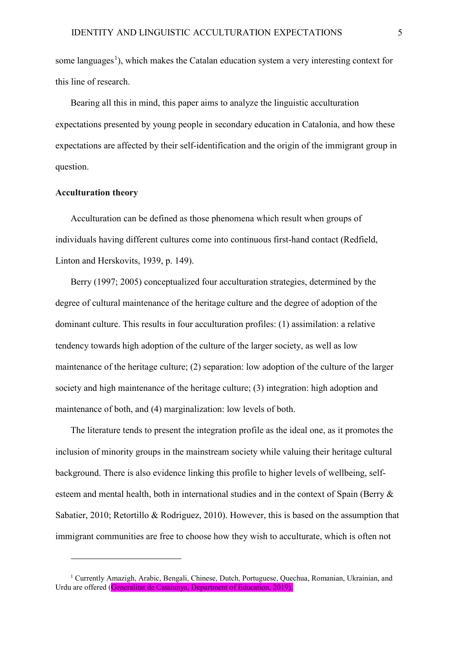some languages<sup>[1](#page-5-0)</sup>), which makes the Catalan education system a very interesting context for this line of research.

Bearing all this in mind, this paper aims to analyze the linguistic acculturation expectations presented by young people in secondary education in Catalonia, and how these expectations are affected by their self-identification and the origin of the immigrant group in question.

#### **Acculturation theory**

 $\overline{a}$ 

Acculturation can be defined as those phenomena which result when groups of individuals having different cultures come into continuous first-hand contact (Redfield, Linton and Herskovits, 1939, p. 149).

Berry (1997; 2005) conceptualized four acculturation strategies, determined by the degree of cultural maintenance of the heritage culture and the degree of adoption of the dominant culture. This results in four acculturation profiles: (1) assimilation: a relative tendency towards high adoption of the culture of the larger society, as well as low maintenance of the heritage culture; (2) separation: low adoption of the culture of the larger society and high maintenance of the heritage culture; (3) integration: high adoption and maintenance of both, and (4) marginalization: low levels of both.

The literature tends to present the integration profile as the ideal one, as it promotes the inclusion of minority groups in the mainstream society while valuing their heritage cultural background. There is also evidence linking this profile to higher levels of wellbeing, selfesteem and mental health, both in international studies and in the context of Spain (Berry & Sabatier, 2010; Retortillo & Rodriguez, 2010). However, this is based on the assumption that immigrant communities are free to choose how they wish to acculturate, which is often not

<span id="page-5-0"></span><sup>&</sup>lt;sup>1</sup> Currently Amazigh, Arabic, Bengali, Chinese, Dutch, Portuguese, Quechua, Romanian, Ukrainian, and Urdu are offered (Generalitat de Catalunya, Department of Education, 2019).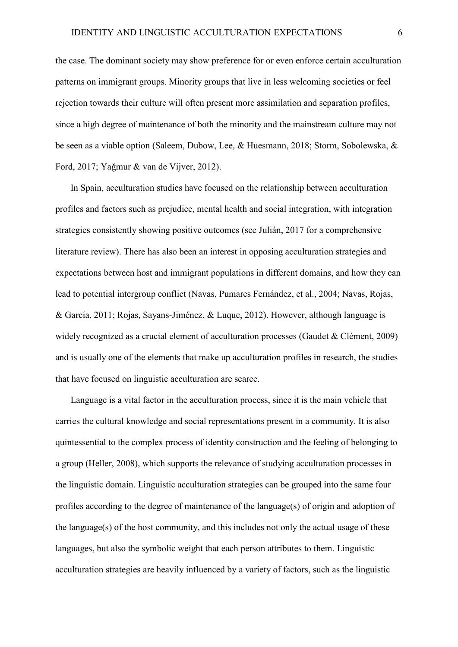the case. The dominant society may show preference for or even enforce certain acculturation patterns on immigrant groups. Minority groups that live in less welcoming societies or feel rejection towards their culture will often present more assimilation and separation profiles, since a high degree of maintenance of both the minority and the mainstream culture may not be seen as a viable option (Saleem, Dubow, Lee, & Huesmann, 2018; Storm, Sobolewska, & Ford, 2017; Yaǧmur & van de Vijver, 2012).

In Spain, acculturation studies have focused on the relationship between acculturation profiles and factors such as prejudice, mental health and social integration, with integration strategies consistently showing positive outcomes (see Julián, 2017 for a comprehensive literature review). There has also been an interest in opposing acculturation strategies and expectations between host and immigrant populations in different domains, and how they can lead to potential intergroup conflict (Navas, Pumares Fernández, et al., 2004; Navas, Rojas, & García, 2011; Rojas, Sayans-Jiménez, & Luque, 2012). However, although language is widely recognized as a crucial element of acculturation processes (Gaudet & Clément, 2009) and is usually one of the elements that make up acculturation profiles in research, the studies that have focused on linguistic acculturation are scarce.

Language is a vital factor in the acculturation process, since it is the main vehicle that carries the cultural knowledge and social representations present in a community. It is also quintessential to the complex process of identity construction and the feeling of belonging to a group (Heller, 2008), which supports the relevance of studying acculturation processes in the linguistic domain. Linguistic acculturation strategies can be grouped into the same four profiles according to the degree of maintenance of the language(s) of origin and adoption of the language(s) of the host community, and this includes not only the actual usage of these languages, but also the symbolic weight that each person attributes to them. Linguistic acculturation strategies are heavily influenced by a variety of factors, such as the linguistic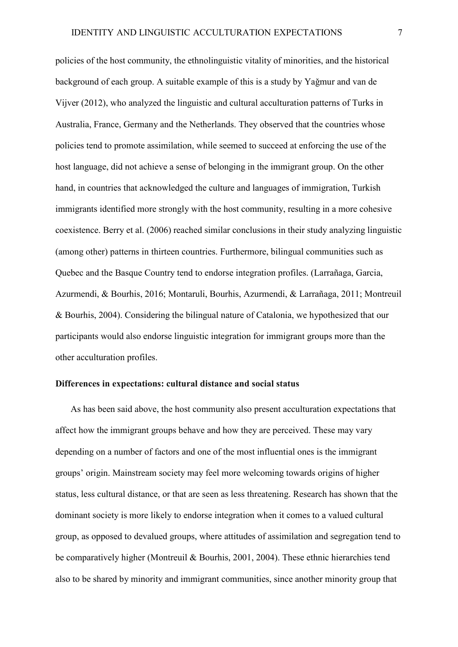policies of the host community, the ethnolinguistic vitality of minorities, and the historical background of each group. A suitable example of this is a study by Yaǧmur and van de Vijver (2012), who analyzed the linguistic and cultural acculturation patterns of Turks in Australia, France, Germany and the Netherlands. They observed that the countries whose policies tend to promote assimilation, while seemed to succeed at enforcing the use of the host language, did not achieve a sense of belonging in the immigrant group. On the other hand, in countries that acknowledged the culture and languages of immigration, Turkish immigrants identified more strongly with the host community, resulting in a more cohesive coexistence. Berry et al. (2006) reached similar conclusions in their study analyzing linguistic (among other) patterns in thirteen countries. Furthermore, bilingual communities such as Quebec and the Basque Country tend to endorse integration profiles. (Larrañaga, Garcia, Azurmendi, & Bourhis, 2016; Montaruli, Bourhis, Azurmendi, & Larrañaga, 2011; Montreuil & Bourhis, 2004). Considering the bilingual nature of Catalonia, we hypothesized that our participants would also endorse linguistic integration for immigrant groups more than the other acculturation profiles.

#### **Differences in expectations: cultural distance and social status**

As has been said above, the host community also present acculturation expectations that affect how the immigrant groups behave and how they are perceived. These may vary depending on a number of factors and one of the most influential ones is the immigrant groups' origin. Mainstream society may feel more welcoming towards origins of higher status, less cultural distance, or that are seen as less threatening. Research has shown that the dominant society is more likely to endorse integration when it comes to a valued cultural group, as opposed to devalued groups, where attitudes of assimilation and segregation tend to be comparatively higher (Montreuil & Bourhis, 2001, 2004). These ethnic hierarchies tend also to be shared by minority and immigrant communities, since another minority group that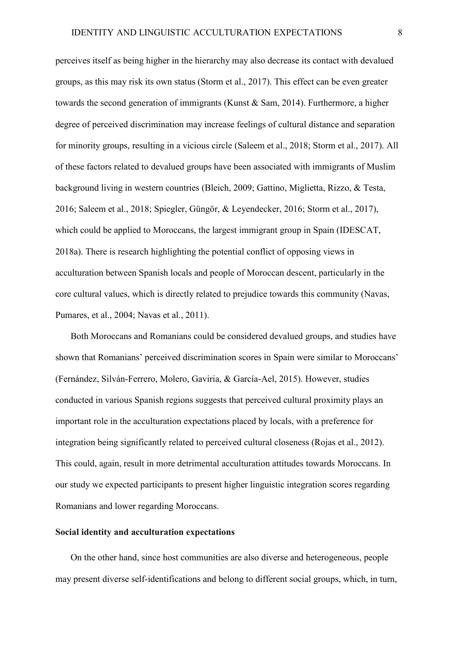perceives itself as being higher in the hierarchy may also decrease its contact with devalued groups, as this may risk its own status (Storm et al., 2017). This effect can be even greater towards the second generation of immigrants (Kunst & Sam, 2014). Furthermore, a higher degree of perceived discrimination may increase feelings of cultural distance and separation for minority groups, resulting in a vicious circle (Saleem et al., 2018; Storm et al., 2017). All of these factors related to devalued groups have been associated with immigrants of Muslim background living in western countries (Bleich, 2009; Gattino, Miglietta, Rizzo, & Testa, 2016; Saleem et al., 2018; Spiegler, Güngör, & Leyendecker, 2016; Storm et al., 2017), which could be applied to Moroccans, the largest immigrant group in Spain (IDESCAT, 2018a). There is research highlighting the potential conflict of opposing views in acculturation between Spanish locals and people of Moroccan descent, particularly in the core cultural values, which is directly related to prejudice towards this community (Navas, Pumares, et al., 2004; Navas et al., 2011).

Both Moroccans and Romanians could be considered devalued groups, and studies have shown that Romanians' perceived discrimination scores in Spain were similar to Moroccans' (Fernández, Silván-Ferrero, Molero, Gaviria, & García-Ael, 2015). However, studies conducted in various Spanish regions suggests that perceived cultural proximity plays an important role in the acculturation expectations placed by locals, with a preference for integration being significantly related to perceived cultural closeness (Rojas et al., 2012). This could, again, result in more detrimental acculturation attitudes towards Moroccans. In our study we expected participants to present higher linguistic integration scores regarding Romanians and lower regarding Moroccans.

## **Social identity and acculturation expectations**

On the other hand, since host communities are also diverse and heterogeneous, people may present diverse self-identifications and belong to different social groups, which, in turn,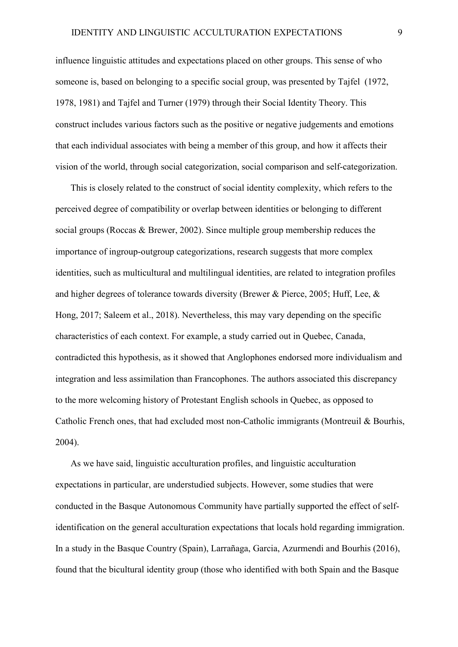influence linguistic attitudes and expectations placed on other groups. This sense of who someone is, based on belonging to a specific social group, was presented by Tajfel (1972, 1978, 1981) and Tajfel and Turner (1979) through their Social Identity Theory. This construct includes various factors such as the positive or negative judgements and emotions that each individual associates with being a member of this group, and how it affects their vision of the world, through social categorization, social comparison and self-categorization.

This is closely related to the construct of social identity complexity, which refers to the perceived degree of compatibility or overlap between identities or belonging to different social groups (Roccas & Brewer, 2002). Since multiple group membership reduces the importance of ingroup-outgroup categorizations, research suggests that more complex identities, such as multicultural and multilingual identities, are related to integration profiles and higher degrees of tolerance towards diversity (Brewer & Pierce, 2005; Huff, Lee, & Hong, 2017; Saleem et al., 2018). Nevertheless, this may vary depending on the specific characteristics of each context. For example, a study carried out in Quebec, Canada, contradicted this hypothesis, as it showed that Anglophones endorsed more individualism and integration and less assimilation than Francophones. The authors associated this discrepancy to the more welcoming history of Protestant English schools in Quebec, as opposed to Catholic French ones, that had excluded most non-Catholic immigrants (Montreuil & Bourhis, 2004).

As we have said, linguistic acculturation profiles, and linguistic acculturation expectations in particular, are understudied subjects. However, some studies that were conducted in the Basque Autonomous Community have partially supported the effect of selfidentification on the general acculturation expectations that locals hold regarding immigration. In a study in the Basque Country (Spain), Larrañaga, Garcia, Azurmendi and Bourhis (2016), found that the bicultural identity group (those who identified with both Spain and the Basque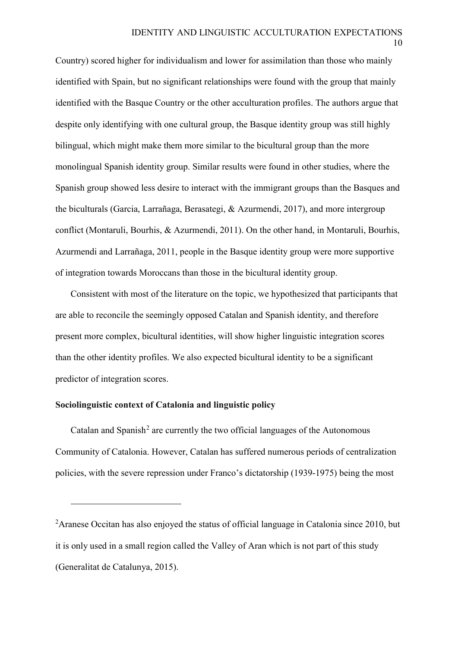Country) scored higher for individualism and lower for assimilation than those who mainly identified with Spain, but no significant relationships were found with the group that mainly identified with the Basque Country or the other acculturation profiles. The authors argue that despite only identifying with one cultural group, the Basque identity group was still highly bilingual, which might make them more similar to the bicultural group than the more monolingual Spanish identity group. Similar results were found in other studies, where the Spanish group showed less desire to interact with the immigrant groups than the Basques and the biculturals (Garcia, Larrañaga, Berasategi, & Azurmendi, 2017), and more intergroup conflict (Montaruli, Bourhis, & Azurmendi, 2011). On the other hand, in Montaruli, Bourhis, Azurmendi and Larrañaga, 2011, people in the Basque identity group were more supportive of integration towards Moroccans than those in the bicultural identity group.

Consistent with most of the literature on the topic, we hypothesized that participants that are able to reconcile the seemingly opposed Catalan and Spanish identity, and therefore present more complex, bicultural identities, will show higher linguistic integration scores than the other identity profiles. We also expected bicultural identity to be a significant predictor of integration scores.

## **Sociolinguistic context of Catalonia and linguistic policy**

 $\overline{a}$ 

Catalan and Spanish<sup>[2](#page-10-0)</sup> are currently the two official languages of the Autonomous Community of Catalonia. However, Catalan has suffered numerous periods of centralization policies, with the severe repression under Franco's dictatorship (1939-1975) being the most

<span id="page-10-0"></span><sup>&</sup>lt;sup>2</sup> Aranese Occitan has also enjoyed the status of official language in Catalonia since 2010, but it is only used in a small region called the Valley of Aran which is not part of this study (Generalitat de Catalunya, 2015).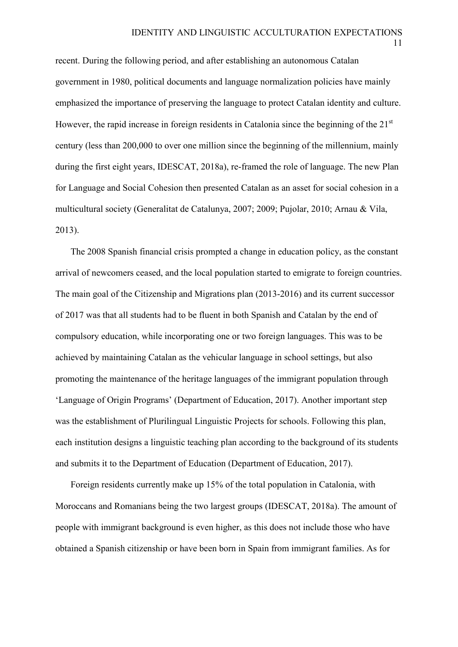11

recent. During the following period, and after establishing an autonomous Catalan government in 1980, political documents and language normalization policies have mainly emphasized the importance of preserving the language to protect Catalan identity and culture. However, the rapid increase in foreign residents in Catalonia since the beginning of the 21<sup>st</sup> century (less than 200,000 to over one million since the beginning of the millennium, mainly during the first eight years, IDESCAT, 2018a), re-framed the role of language. The new Plan for Language and Social Cohesion then presented Catalan as an asset for social cohesion in a multicultural society (Generalitat de Catalunya, 2007; 2009; Pujolar, 2010; Arnau & Vila, 2013).

The 2008 Spanish financial crisis prompted a change in education policy, as the constant arrival of newcomers ceased, and the local population started to emigrate to foreign countries. The main goal of the Citizenship and Migrations plan (2013-2016) and its current successor of 2017 was that all students had to be fluent in both Spanish and Catalan by the end of compulsory education, while incorporating one or two foreign languages. This was to be achieved by maintaining Catalan as the vehicular language in school settings, but also promoting the maintenance of the heritage languages of the immigrant population through 'Language of Origin Programs' (Department of Education, 2017). Another important step was the establishment of Plurilingual Linguistic Projects for schools. Following this plan, each institution designs a linguistic teaching plan according to the background of its students and submits it to the Department of Education (Department of Education, 2017).

Foreign residents currently make up 15% of the total population in Catalonia, with Moroccans and Romanians being the two largest groups (IDESCAT, 2018a). The amount of people with immigrant background is even higher, as this does not include those who have obtained a Spanish citizenship or have been born in Spain from immigrant families. As for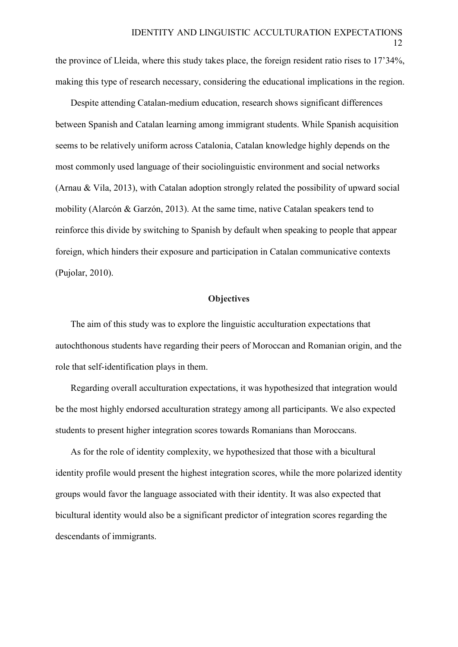the province of Lleida, where this study takes place, the foreign resident ratio rises to 17'34%, making this type of research necessary, considering the educational implications in the region.

Despite attending Catalan-medium education, research shows significant differences between Spanish and Catalan learning among immigrant students. While Spanish acquisition seems to be relatively uniform across Catalonia, Catalan knowledge highly depends on the most commonly used language of their sociolinguistic environment and social networks (Arnau & Vila, 2013), with Catalan adoption strongly related the possibility of upward social mobility (Alarcón & Garzón, 2013). At the same time, native Catalan speakers tend to reinforce this divide by switching to Spanish by default when speaking to people that appear foreign, which hinders their exposure and participation in Catalan communicative contexts (Pujolar, 2010).

# **Objectives**

The aim of this study was to explore the linguistic acculturation expectations that autochthonous students have regarding their peers of Moroccan and Romanian origin, and the role that self-identification plays in them.

Regarding overall acculturation expectations, it was hypothesized that integration would be the most highly endorsed acculturation strategy among all participants. We also expected students to present higher integration scores towards Romanians than Moroccans.

As for the role of identity complexity, we hypothesized that those with a bicultural identity profile would present the highest integration scores, while the more polarized identity groups would favor the language associated with their identity. It was also expected that bicultural identity would also be a significant predictor of integration scores regarding the descendants of immigrants.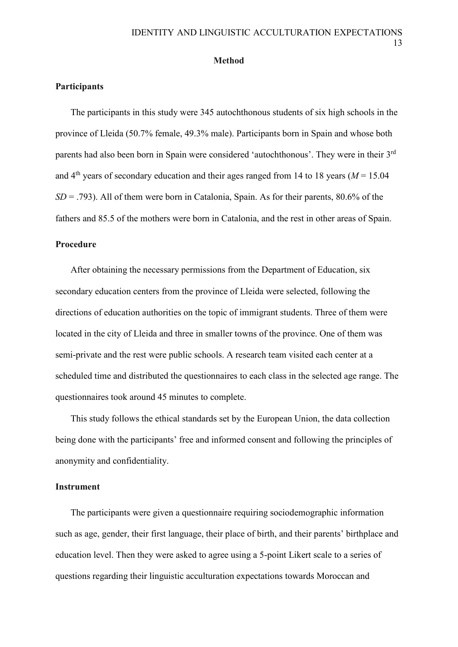#### **Method**

## **Participants**

The participants in this study were 345 autochthonous students of six high schools in the province of Lleida (50.7% female, 49.3% male). Participants born in Spain and whose both parents had also been born in Spain were considered 'autochthonous'. They were in their 3rd and  $4<sup>th</sup>$  years of secondary education and their ages ranged from 14 to 18 years ( $M = 15.04$ )  $SD = .793$ ). All of them were born in Catalonia, Spain. As for their parents, 80.6% of the fathers and 85.5 of the mothers were born in Catalonia, and the rest in other areas of Spain.

## **Procedure**

After obtaining the necessary permissions from the Department of Education, six secondary education centers from the province of Lleida were selected, following the directions of education authorities on the topic of immigrant students. Three of them were located in the city of Lleida and three in smaller towns of the province. One of them was semi-private and the rest were public schools. A research team visited each center at a scheduled time and distributed the questionnaires to each class in the selected age range. The questionnaires took around 45 minutes to complete.

This study follows the ethical standards set by the European Union, the data collection being done with the participants' free and informed consent and following the principles of anonymity and confidentiality.

#### **Instrument**

The participants were given a questionnaire requiring sociodemographic information such as age, gender, their first language, their place of birth, and their parents' birthplace and education level. Then they were asked to agree using a 5-point Likert scale to a series of questions regarding their linguistic acculturation expectations towards Moroccan and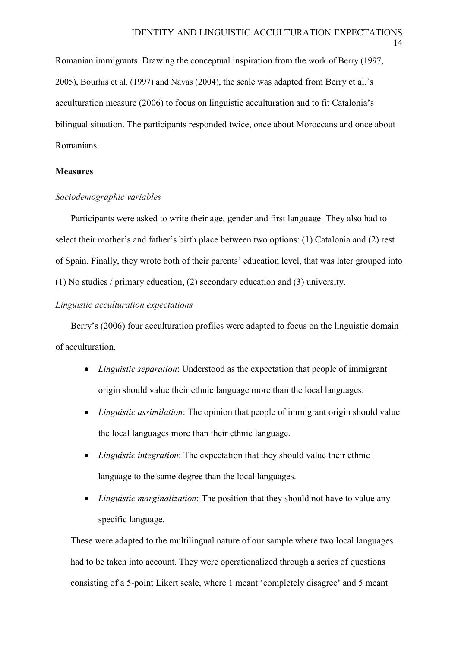Romanian immigrants. Drawing the conceptual inspiration from the work of Berry (1997, 2005), Bourhis et al. (1997) and Navas (2004), the scale was adapted from Berry et al.'s acculturation measure (2006) to focus on linguistic acculturation and to fit Catalonia's bilingual situation. The participants responded twice, once about Moroccans and once about Romanians.

# **Measures**

# *Sociodemographic variables*

Participants were asked to write their age, gender and first language. They also had to select their mother's and father's birth place between two options: (1) Catalonia and (2) rest of Spain. Finally, they wrote both of their parents' education level, that was later grouped into (1) No studies / primary education, (2) secondary education and (3) university.

# *Linguistic acculturation expectations*

Berry's (2006) four acculturation profiles were adapted to focus on the linguistic domain of acculturation.

- *Linguistic separation*: Understood as the expectation that people of immigrant origin should value their ethnic language more than the local languages.
- *Linguistic assimilation*: The opinion that people of immigrant origin should value the local languages more than their ethnic language.
- *Linguistic integration*: The expectation that they should value their ethnic language to the same degree than the local languages.
- *Linguistic marginalization*: The position that they should not have to value any specific language.

These were adapted to the multilingual nature of our sample where two local languages had to be taken into account. They were operationalized through a series of questions consisting of a 5-point Likert scale, where 1 meant 'completely disagree' and 5 meant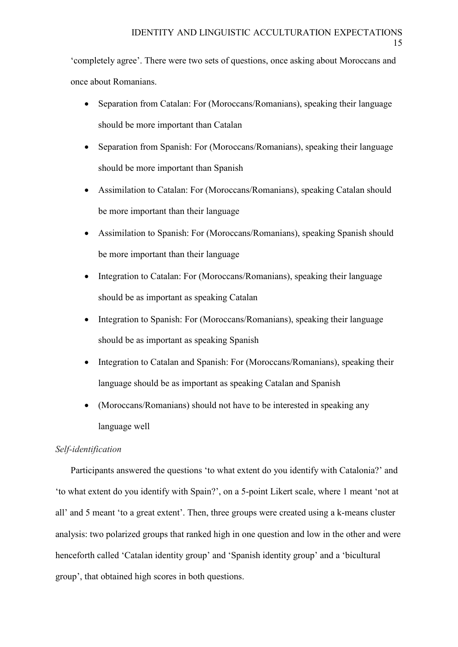'completely agree'. There were two sets of questions, once asking about Moroccans and once about Romanians.

- Separation from Catalan: For (Moroccans/Romanians), speaking their language should be more important than Catalan
- Separation from Spanish: For (Moroccans/Romanians), speaking their language should be more important than Spanish
- Assimilation to Catalan: For (Moroccans/Romanians), speaking Catalan should be more important than their language
- Assimilation to Spanish: For (Moroccans/Romanians), speaking Spanish should be more important than their language
- Integration to Catalan: For (Moroccans/Romanians), speaking their language should be as important as speaking Catalan
- Integration to Spanish: For (Moroccans/Romanians), speaking their language should be as important as speaking Spanish
- Integration to Catalan and Spanish: For (Moroccans/Romanians), speaking their language should be as important as speaking Catalan and Spanish
- (Moroccans/Romanians) should not have to be interested in speaking any language well

# *Self-identification*

Participants answered the questions 'to what extent do you identify with Catalonia?' and 'to what extent do you identify with Spain?', on a 5-point Likert scale, where 1 meant 'not at all' and 5 meant 'to a great extent'. Then, three groups were created using a k-means cluster analysis: two polarized groups that ranked high in one question and low in the other and were henceforth called 'Catalan identity group' and 'Spanish identity group' and a 'bicultural group', that obtained high scores in both questions.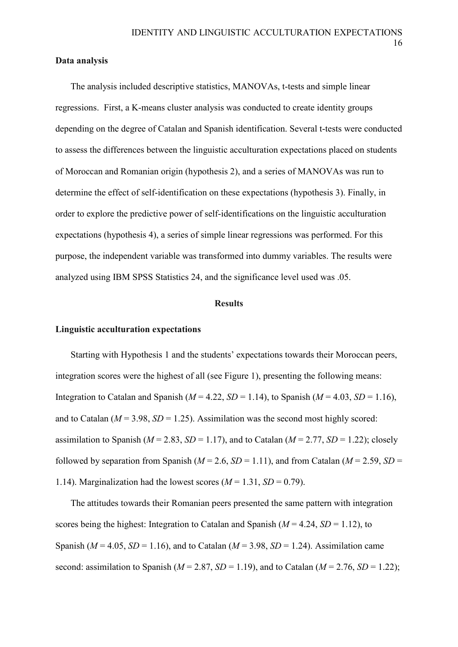# **Data analysis**

The analysis included descriptive statistics, MANOVAs, t-tests and simple linear regressions. First, a K-means cluster analysis was conducted to create identity groups depending on the degree of Catalan and Spanish identification. Several t-tests were conducted to assess the differences between the linguistic acculturation expectations placed on students of Moroccan and Romanian origin (hypothesis 2), and a series of MANOVAs was run to determine the effect of self-identification on these expectations (hypothesis 3). Finally, in order to explore the predictive power of self-identifications on the linguistic acculturation expectations (hypothesis 4), a series of simple linear regressions was performed. For this purpose, the independent variable was transformed into dummy variables. The results were analyzed using IBM SPSS Statistics 24, and the significance level used was .05.

## **Results**

#### **Linguistic acculturation expectations**

Starting with Hypothesis 1 and the students' expectations towards their Moroccan peers, integration scores were the highest of all (see Figure 1), presenting the following means: Integration to Catalan and Spanish ( $M = 4.22$ ,  $SD = 1.14$ ), to Spanish ( $M = 4.03$ ,  $SD = 1.16$ ), and to Catalan ( $M = 3.98$ ,  $SD = 1.25$ ). Assimilation was the second most highly scored: assimilation to Spanish ( $M = 2.83$ ,  $SD = 1.17$ ), and to Catalan ( $M = 2.77$ ,  $SD = 1.22$ ); closely followed by separation from Spanish ( $M = 2.6$ ,  $SD = 1.11$ ), and from Catalan ( $M = 2.59$ ,  $SD = 1.11$ ) 1.14). Marginalization had the lowest scores  $(M = 1.31, SD = 0.79)$ .

The attitudes towards their Romanian peers presented the same pattern with integration scores being the highest: Integration to Catalan and Spanish  $(M = 4.24, SD = 1.12)$ , to Spanish ( $M = 4.05$ ,  $SD = 1.16$ ), and to Catalan ( $M = 3.98$ ,  $SD = 1.24$ ). Assimilation came second: assimilation to Spanish ( $M = 2.87$ ,  $SD = 1.19$ ), and to Catalan ( $M = 2.76$ ,  $SD = 1.22$ );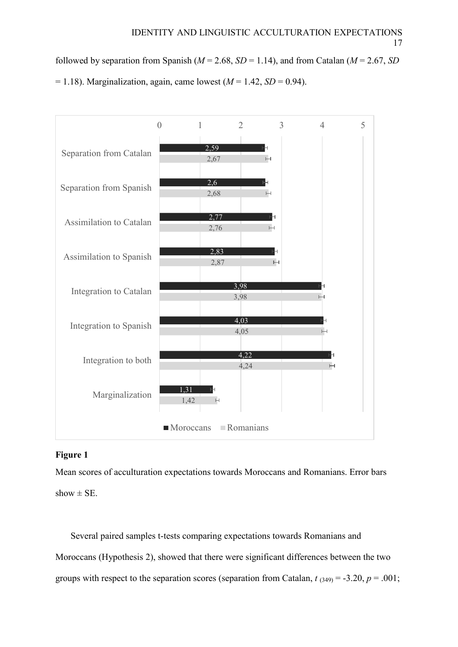followed by separation from Spanish ( $M = 2.68$ ,  $SD = 1.14$ ), and from Catalan ( $M = 2.67$ , *SD*)  $= 1.18$ ). Marginalization, again, came lowest ( $M = 1.42$ ,  $SD = 0.94$ ).



# **Figure 1**

Mean scores of acculturation expectations towards Moroccans and Romanians. Error bars show  $\pm$  SE.

Several paired samples t-tests comparing expectations towards Romanians and Moroccans (Hypothesis 2), showed that there were significant differences between the two groups with respect to the separation scores (separation from Catalan,  $t_{(349)} = -3.20$ ,  $p = .001$ ;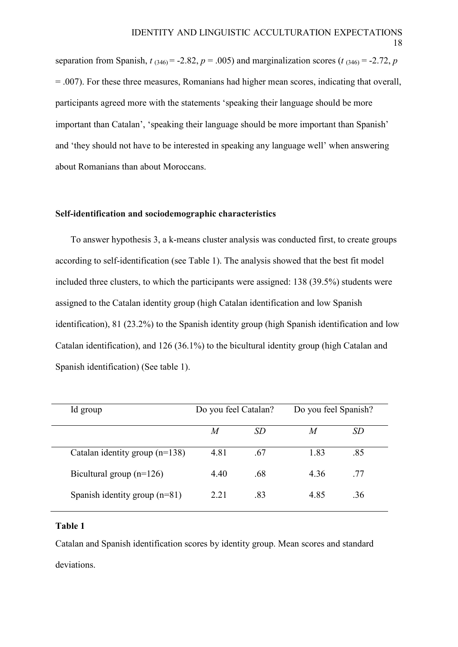separation from Spanish,  $t_{(346)} = -2.82$ ,  $p = .005$ ) and marginalization scores ( $t_{(346)} = -2.72$ ,  $p$  $= 0.007$ ). For these three measures, Romanians had higher mean scores, indicating that overall, participants agreed more with the statements 'speaking their language should be more important than Catalan', 'speaking their language should be more important than Spanish' and 'they should not have to be interested in speaking any language well' when answering about Romanians than about Moroccans.

## **Self-identification and sociodemographic characteristics**

To answer hypothesis 3, a k-means cluster analysis was conducted first, to create groups according to self-identification (see Table 1). The analysis showed that the best fit model included three clusters, to which the participants were assigned: 138 (39.5%) students were assigned to the Catalan identity group (high Catalan identification and low Spanish identification), 81 (23.2%) to the Spanish identity group (high Spanish identification and low Catalan identification), and 126 (36.1%) to the bicultural identity group (high Catalan and Spanish identification) (See table 1).

| Id group                         | Do you feel Catalan? |           | Do you feel Spanish? |     |
|----------------------------------|----------------------|-----------|----------------------|-----|
|                                  | M                    | <i>SD</i> | M                    | SD  |
| Catalan identity group $(n=138)$ | 4.81                 | .67       | 1.83                 | .85 |
| Bicultural group $(n=126)$       | 4.40                 | .68       | 4.36                 | .77 |
| Spanish identity group $(n=81)$  | 2.21                 | .83       | 4.85                 | .36 |

## **Table 1**

Catalan and Spanish identification scores by identity group. Mean scores and standard deviations.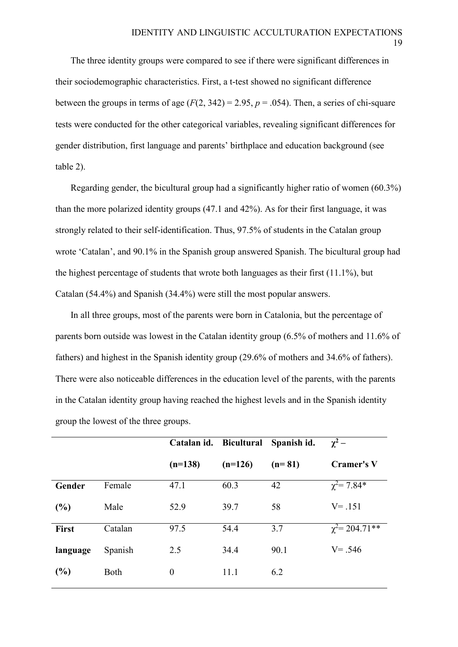The three identity groups were compared to see if there were significant differences in their sociodemographic characteristics. First, a t-test showed no significant difference between the groups in terms of age  $(F(2, 342) = 2.95, p = .054)$ . Then, a series of chi-square tests were conducted for the other categorical variables, revealing significant differences for gender distribution, first language and parents' birthplace and education background (see table 2).

Regarding gender, the bicultural group had a significantly higher ratio of women (60.3%) than the more polarized identity groups (47.1 and 42%). As for their first language, it was strongly related to their self-identification. Thus, 97.5% of students in the Catalan group wrote 'Catalan', and 90.1% in the Spanish group answered Spanish. The bicultural group had the highest percentage of students that wrote both languages as their first (11.1%), but Catalan (54.4%) and Spanish (34.4%) were still the most popular answers.

In all three groups, most of the parents were born in Catalonia, but the percentage of parents born outside was lowest in the Catalan identity group (6.5% of mothers and 11.6% of fathers) and highest in the Spanish identity group (29.6% of mothers and 34.6% of fathers). There were also noticeable differences in the education level of the parents, with the parents in the Catalan identity group having reached the highest levels and in the Spanish identity group the lowest of the three groups.

|              |         | Catalan id. Bicultural |           | Spanish id. | $\gamma^2$ –          |  |  |
|--------------|---------|------------------------|-----------|-------------|-----------------------|--|--|
|              |         | $(n=138)$              | $(n=126)$ | $(n=81)$    | <b>Cramer's V</b>     |  |  |
| Gender       | Female  | 47.1                   | 60.3      | 42          | $\chi^2 = 7.84*$      |  |  |
| (%)          | Male    | 52.9                   | 39.7      | 58          | $V = .151$            |  |  |
| <b>First</b> | Catalan | 97.5                   | 54.4      | 3.7         | $\gamma^2$ = 204.71** |  |  |
| language     | Spanish | 2.5                    | 34.4      | 90.1        | $V = .546$            |  |  |
| (%)          | Both    | $\boldsymbol{0}$       | 11.1      | 6.2         |                       |  |  |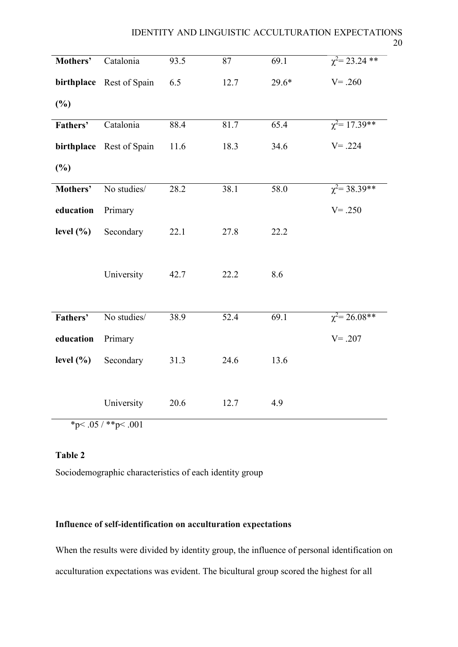| Mothers'      | Catalonia                       | 93.5 | 87   | 69.1    | $\chi^2$ = 23.24 ** |
|---------------|---------------------------------|------|------|---------|---------------------|
|               | birthplace Rest of Spain        | 6.5  | 12.7 | $29.6*$ | $V = .260$          |
| (%)           |                                 |      |      |         |                     |
| Fathers'      | Catalonia                       | 88.4 | 81.7 | 65.4    | $\chi^2$ = 17.39**  |
|               | birthplace Rest of Spain        | 11.6 | 18.3 | 34.6    | $V = .224$          |
| (%)           |                                 |      |      |         |                     |
| Mothers'      | No studies/                     | 28.2 | 38.1 | 58.0    | $\chi^2$ = 38.39**  |
| education     | Primary                         |      |      |         | $V = .250$          |
| level $(\% )$ | Secondary                       | 22.1 | 27.8 | 22.2    |                     |
|               | University                      | 42.7 | 22.2 | 8.6     |                     |
| Fathers'      | No studies/                     | 38.9 | 52.4 | 69.1    | $\chi^2$ = 26.08**  |
| education     | Primary                         |      |      |         | $V = .207$          |
| level $(\% )$ | Secondary                       | 31.3 | 24.6 | 13.6    |                     |
|               | University<br>*p<.05 / **p<.001 | 20.6 | 12.7 | 4.9     |                     |

**Table 2**

Sociodemographic characteristics of each identity group

# **Influence of self-identification on acculturation expectations**

When the results were divided by identity group, the influence of personal identification on acculturation expectations was evident. The bicultural group scored the highest for all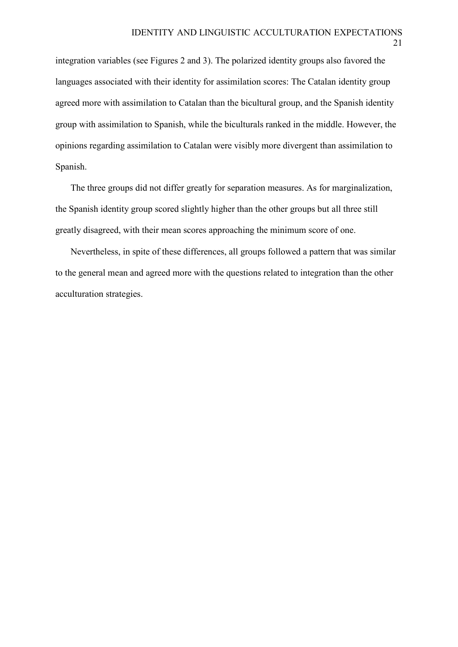21

integration variables (see Figures 2 and 3). The polarized identity groups also favored the languages associated with their identity for assimilation scores: The Catalan identity group agreed more with assimilation to Catalan than the bicultural group, and the Spanish identity group with assimilation to Spanish, while the biculturals ranked in the middle. However, the opinions regarding assimilation to Catalan were visibly more divergent than assimilation to Spanish.

The three groups did not differ greatly for separation measures. As for marginalization, the Spanish identity group scored slightly higher than the other groups but all three still greatly disagreed, with their mean scores approaching the minimum score of one.

Nevertheless, in spite of these differences, all groups followed a pattern that was similar to the general mean and agreed more with the questions related to integration than the other acculturation strategies.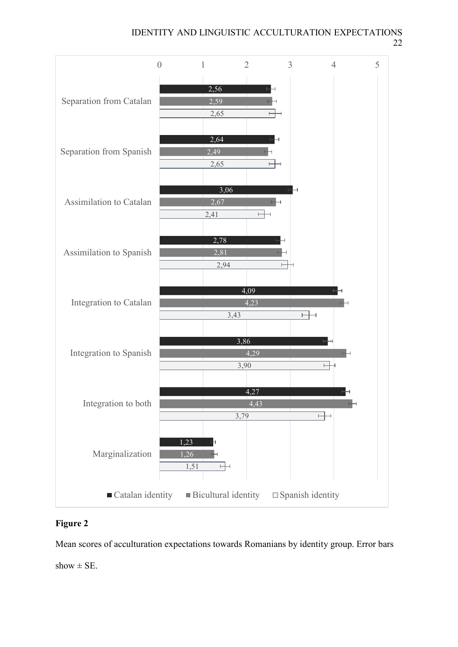IDENTITY AND LINGUISTIC ACCULTURATION EXPECTATIONS 22



# **Figure 2**

Mean scores of acculturation expectations towards Romanians by identity group. Error bars show  $\pm$  SE.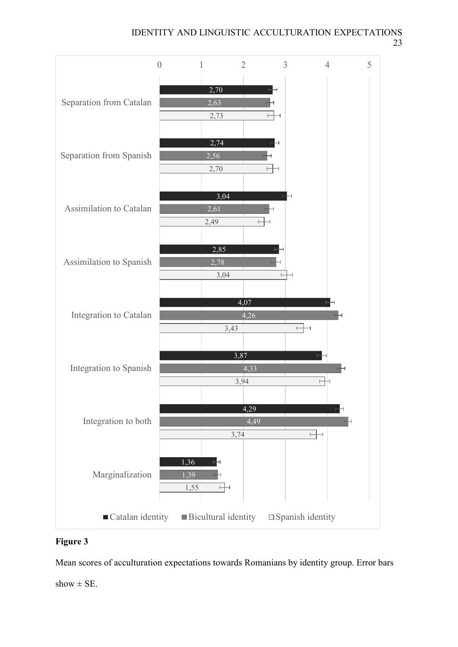IDENTITY AND LINGUISTIC ACCULTURATION EXPECTATIONS 23



# **Figure 3**

Mean scores of acculturation expectations towards Romanians by identity group. Error bars show  $\pm$  SE.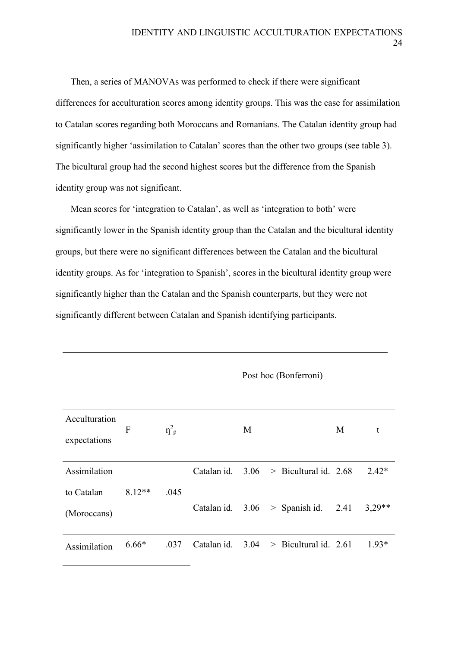Then, a series of MANOVAs was performed to check if there were significant differences for acculturation scores among identity groups. This was the case for assimilation to Catalan scores regarding both Moroccans and Romanians. The Catalan identity group had significantly higher 'assimilation to Catalan' scores than the other two groups (see table 3). The bicultural group had the second highest scores but the difference from the Spanish identity group was not significant.

Mean scores for 'integration to Catalan', as well as 'integration to both' were significantly lower in the Spanish identity group than the Catalan and the bicultural identity groups, but there were no significant differences between the Catalan and the bicultural identity groups. As for 'integration to Spanish', scores in the bicultural identity group were significantly higher than the Catalan and the Spanish counterparts, but they were not significantly different between Catalan and Spanish identifying participants.

| Acculturation<br>expectations | F        | $\eta_{\rm p}^2$ |                  | M |                                          | M | t        |
|-------------------------------|----------|------------------|------------------|---|------------------------------------------|---|----------|
| Assimilation                  |          |                  |                  |   | Catalan id. $3.06$ > Bicultural id. 2.68 |   | $2.42*$  |
| to Catalan<br>(Moroccans)     | $8.12**$ | .045             |                  |   | Catalan id. $3.06$ > Spanish id. 2.41    |   | $3,29**$ |
| Assimilation                  | $6.66*$  | .037             | Catalan id. 3.04 |   | $>$ Bicultural id. 2.61                  |   | $1.93*$  |

Post hoc (Bonferroni)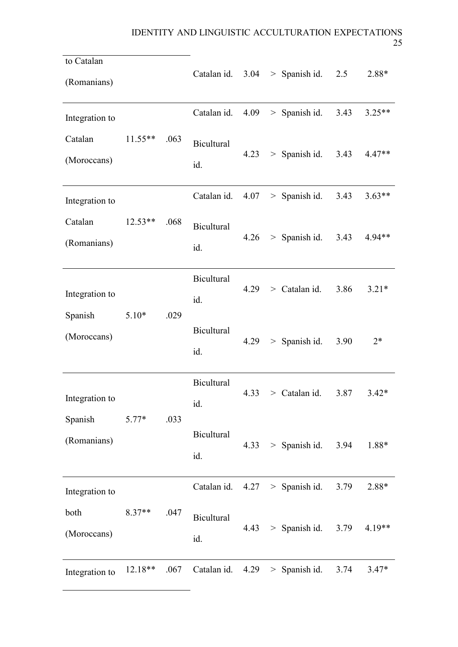٠

| to Catalan<br>(Romanians) |                  |      | Catalan id. $3.04 >$ Spanish id. $2.5$ |      |                                  |      | 2.88*    |  |
|---------------------------|------------------|------|----------------------------------------|------|----------------------------------|------|----------|--|
| Integration to            |                  |      | Catalan id.                            | 4.09 | > Spanish id.                    | 3.43 | $3.25**$ |  |
| Catalan<br>(Moroccans)    | $11.55**$        | .063 |                                        | 4.23 | > Spanish id.                    | 3.43 | 4.47**   |  |
| Integration to            |                  |      | Catalan id.                            |      | $4.07 >$ Spanish id.             | 3.43 | $3.63**$ |  |
| Catalan<br>(Romanians)    | $12.53**$        | .068 | <b>Bicultural</b><br>id.               |      | $4.26$ > Spanish id.             | 3.43 | 4.94**   |  |
| Integration to<br>Spanish | $5.10*$          | .029 | <b>Bicultural</b><br>id.               | 4.29 | $>$ Catalan id.                  | 3.86 | $3.21*$  |  |
| (Moroccans)               |                  |      | <b>Bicultural</b><br>id.               | 4.29 | $>$ Spanish id.                  | 3.90 | $2*$     |  |
| Integration to<br>Spanish |                  |      | <b>Bicultural</b><br>id.               | 4.33 | > Catalan id.                    | 3.87 | $3.42*$  |  |
| (Romanians)               | .033<br>$5.77*$  |      | <b>Bicultural</b><br>id.               |      | $4.33$ > Spanish id.             | 3.94 | 1.88*    |  |
| Integration to            |                  |      |                                        |      | Catalan id. $4.27 >$ Spanish id. | 3.79 | 2.88*    |  |
| both<br>(Moroccans)       | $8.37**$<br>.047 |      | <b>Bicultural</b><br>id.               | 4.43 | $>$ Spanish id.                  | 3.79 | 4.19**   |  |
| Integration to            | 12.18**          | .067 |                                        |      | Catalan id. $4.29$ > Spanish id. | 3.74 | $3.47*$  |  |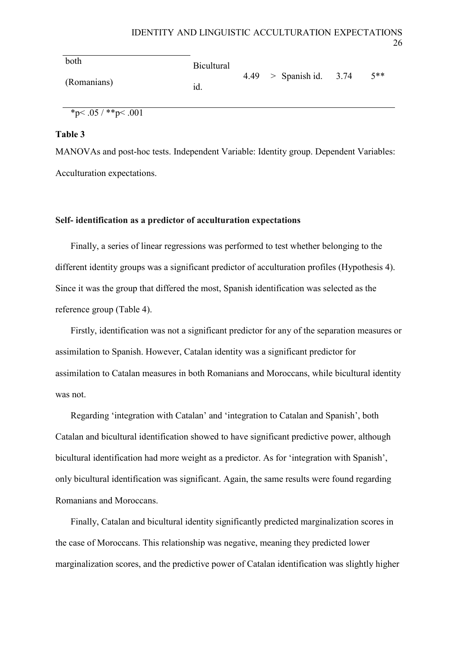| both        | <b>Bicultural</b> |                           |        |
|-------------|-------------------|---------------------------|--------|
| (Romanians) | id.               | $4.49 >$ Spanish id. 3.74 | $5***$ |

\*p<.05 / \*\*p<.001

# **Table 3**

MANOVAs and post-hoc tests. Independent Variable: Identity group. Dependent Variables: Acculturation expectations.

# **Self- identification as a predictor of acculturation expectations**

Finally, a series of linear regressions was performed to test whether belonging to the different identity groups was a significant predictor of acculturation profiles (Hypothesis 4). Since it was the group that differed the most, Spanish identification was selected as the reference group (Table 4).

Firstly, identification was not a significant predictor for any of the separation measures or assimilation to Spanish. However, Catalan identity was a significant predictor for assimilation to Catalan measures in both Romanians and Moroccans, while bicultural identity was not.

Regarding 'integration with Catalan' and 'integration to Catalan and Spanish', both Catalan and bicultural identification showed to have significant predictive power, although bicultural identification had more weight as a predictor. As for 'integration with Spanish', only bicultural identification was significant. Again, the same results were found regarding Romanians and Moroccans.

Finally, Catalan and bicultural identity significantly predicted marginalization scores in the case of Moroccans. This relationship was negative, meaning they predicted lower marginalization scores, and the predictive power of Catalan identification was slightly higher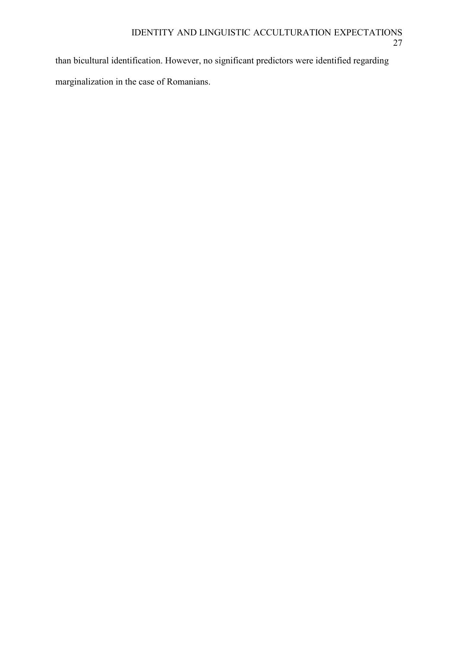than bicultural identification. However, no significant predictors were identified regarding marginalization in the case of Romanians.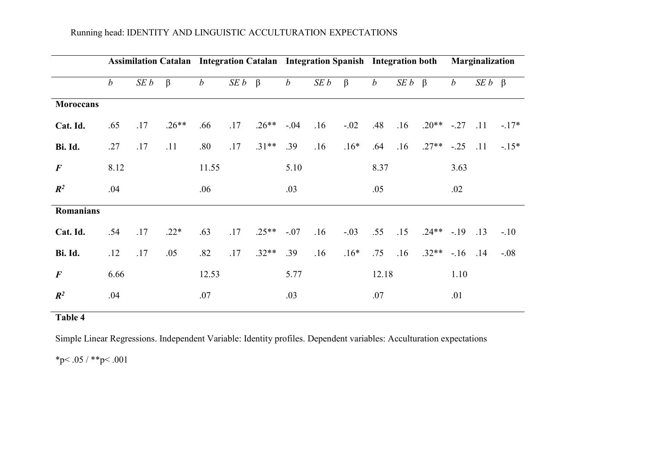# Running head: IDENTITY AND LINGUISTIC ACCULTURATION EXPECTATIONS

|                  |                  |      | Assimilation Catalan Integration Catalan Integration Spanish Integration both |                  |                    |         |                  |     |         |                  | <b>Marginalization</b> |               |                  |                    |        |
|------------------|------------------|------|-------------------------------------------------------------------------------|------------------|--------------------|---------|------------------|-----|---------|------------------|------------------------|---------------|------------------|--------------------|--------|
|                  | $\boldsymbol{b}$ | SE b | $\beta$                                                                       | $\boldsymbol{b}$ | $SE b \quad \beta$ |         | $\boldsymbol{b}$ | SEb | $\beta$ | $\boldsymbol{b}$ | $SE b \quad \beta$     |               | $\boldsymbol{b}$ | $SE b \quad \beta$ |        |
| <b>Moroccans</b> |                  |      |                                                                               |                  |                    |         |                  |     |         |                  |                        |               |                  |                    |        |
| Cat. Id.         | .65              | .17  | $.26**$                                                                       | .66              | .17                | $.26**$ | $-.04$           | .16 | $-.02$  | .48              | .16                    | $.20***$ -.27 |                  | .11                | $-17*$ |
| Bi. Id.          | .27              | .17  | .11                                                                           | .80              | .17                | $.31**$ | .39              | .16 | $.16*$  | .64              | .16                    | $.27**$       | $-.25$           | .11                | $-15*$ |
| $\boldsymbol{F}$ | 8.12             |      |                                                                               | 11.55            |                    |         | 5.10             |     |         | 8.37             |                        |               | 3.63             |                    |        |
| $\mathbb{R}^2$   | .04              |      |                                                                               | .06              |                    |         | .03              |     |         | .05              |                        |               | .02              |                    |        |
| Romanians        |                  |      |                                                                               |                  |                    |         |                  |     |         |                  |                        |               |                  |                    |        |
| Cat. Id.         | .54              | .17  | $.22*$                                                                        | .63              | .17                | $.25**$ | $-.07$           | .16 | $-.03$  | .55              | .15                    | $.24***$ -.19 |                  | .13                | $-.10$ |
| Bi. Id.          | .12              | .17  | .05                                                                           | .82              | .17                | $.32**$ | .39              | .16 | $.16*$  | .75              | .16                    | $.32**$       | $-.16$           | .14                | $-.08$ |
| $\bm{F}$         | 6.66             |      |                                                                               | 12.53            |                    |         | 5.77             |     |         | 12.18            |                        |               | 1.10             |                    |        |
| $\mathbb{R}^2$   | .04              |      |                                                                               | .07              |                    |         | .03              |     |         | .07              |                        |               | .01              |                    |        |
|                  |                  |      |                                                                               |                  |                    |         |                  |     |         |                  |                        |               |                  |                    |        |

# **Table 4**

Simple Linear Regressions. Independent Variable: Identity profiles. Dependent variables: Acculturation expectations

\*p< .05 / \*\*p< .001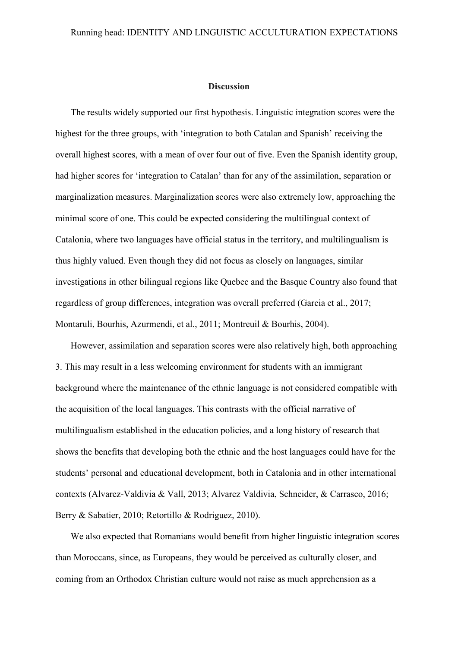#### **Discussion**

The results widely supported our first hypothesis. Linguistic integration scores were the highest for the three groups, with 'integration to both Catalan and Spanish' receiving the overall highest scores, with a mean of over four out of five. Even the Spanish identity group, had higher scores for 'integration to Catalan' than for any of the assimilation, separation or marginalization measures. Marginalization scores were also extremely low, approaching the minimal score of one. This could be expected considering the multilingual context of Catalonia, where two languages have official status in the territory, and multilingualism is thus highly valued. Even though they did not focus as closely on languages, similar investigations in other bilingual regions like Quebec and the Basque Country also found that regardless of group differences, integration was overall preferred (Garcia et al., 2017; Montaruli, Bourhis, Azurmendi, et al., 2011; Montreuil & Bourhis, 2004).

However, assimilation and separation scores were also relatively high, both approaching 3. This may result in a less welcoming environment for students with an immigrant background where the maintenance of the ethnic language is not considered compatible with the acquisition of the local languages. This contrasts with the official narrative of multilingualism established in the education policies, and a long history of research that shows the benefits that developing both the ethnic and the host languages could have for the students' personal and educational development, both in Catalonia and in other international contexts (Alvarez-Valdivia & Vall, 2013; Alvarez Valdivia, Schneider, & Carrasco, 2016; Berry & Sabatier, 2010; Retortillo & Rodriguez, 2010).

We also expected that Romanians would benefit from higher linguistic integration scores than Moroccans, since, as Europeans, they would be perceived as culturally closer, and coming from an Orthodox Christian culture would not raise as much apprehension as a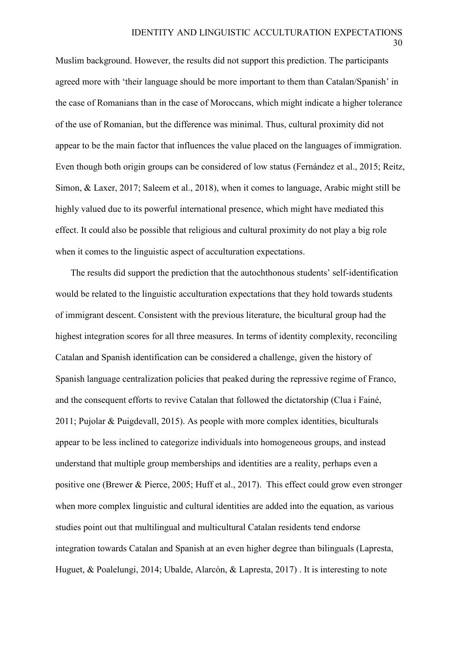Muslim background. However, the results did not support this prediction. The participants agreed more with 'their language should be more important to them than Catalan/Spanish' in the case of Romanians than in the case of Moroccans, which might indicate a higher tolerance of the use of Romanian, but the difference was minimal. Thus, cultural proximity did not appear to be the main factor that influences the value placed on the languages of immigration. Even though both origin groups can be considered of low status (Fernández et al., 2015; Reitz, Simon, & Laxer, 2017; Saleem et al., 2018), when it comes to language, Arabic might still be highly valued due to its powerful international presence, which might have mediated this effect. It could also be possible that religious and cultural proximity do not play a big role when it comes to the linguistic aspect of acculturation expectations.

The results did support the prediction that the autochthonous students' self-identification would be related to the linguistic acculturation expectations that they hold towards students of immigrant descent. Consistent with the previous literature, the bicultural group had the highest integration scores for all three measures. In terms of identity complexity, reconciling Catalan and Spanish identification can be considered a challenge, given the history of Spanish language centralization policies that peaked during the repressive regime of Franco, and the consequent efforts to revive Catalan that followed the dictatorship (Clua i Fainé, 2011; Pujolar & Puigdevall, 2015). As people with more complex identities, biculturals appear to be less inclined to categorize individuals into homogeneous groups, and instead understand that multiple group memberships and identities are a reality, perhaps even a positive one (Brewer & Pierce, 2005; Huff et al., 2017). This effect could grow even stronger when more complex linguistic and cultural identities are added into the equation, as various studies point out that multilingual and multicultural Catalan residents tend endorse integration towards Catalan and Spanish at an even higher degree than bilinguals (Lapresta, Huguet, & Poalelungi, 2014; Ubalde, Alarcón, & Lapresta, 2017) . It is interesting to note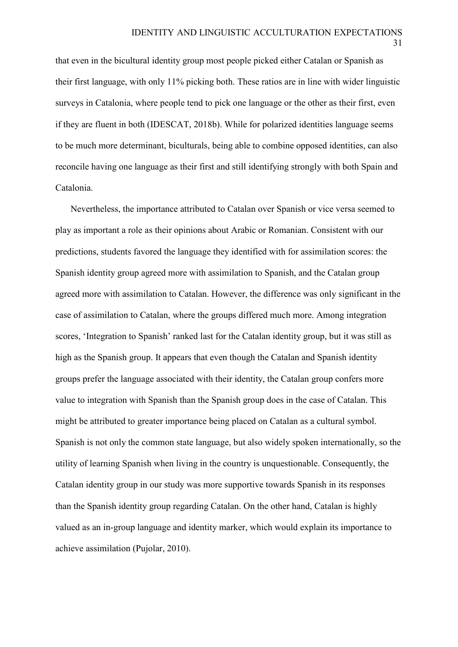31

that even in the bicultural identity group most people picked either Catalan or Spanish as their first language, with only 11% picking both. These ratios are in line with wider linguistic surveys in Catalonia, where people tend to pick one language or the other as their first, even if they are fluent in both (IDESCAT, 2018b). While for polarized identities language seems to be much more determinant, biculturals, being able to combine opposed identities, can also reconcile having one language as their first and still identifying strongly with both Spain and Catalonia.

Nevertheless, the importance attributed to Catalan over Spanish or vice versa seemed to play as important a role as their opinions about Arabic or Romanian. Consistent with our predictions, students favored the language they identified with for assimilation scores: the Spanish identity group agreed more with assimilation to Spanish, and the Catalan group agreed more with assimilation to Catalan. However, the difference was only significant in the case of assimilation to Catalan, where the groups differed much more. Among integration scores, 'Integration to Spanish' ranked last for the Catalan identity group, but it was still as high as the Spanish group. It appears that even though the Catalan and Spanish identity groups prefer the language associated with their identity, the Catalan group confers more value to integration with Spanish than the Spanish group does in the case of Catalan. This might be attributed to greater importance being placed on Catalan as a cultural symbol. Spanish is not only the common state language, but also widely spoken internationally, so the utility of learning Spanish when living in the country is unquestionable. Consequently, the Catalan identity group in our study was more supportive towards Spanish in its responses than the Spanish identity group regarding Catalan. On the other hand, Catalan is highly valued as an in-group language and identity marker, which would explain its importance to achieve assimilation (Pujolar, 2010).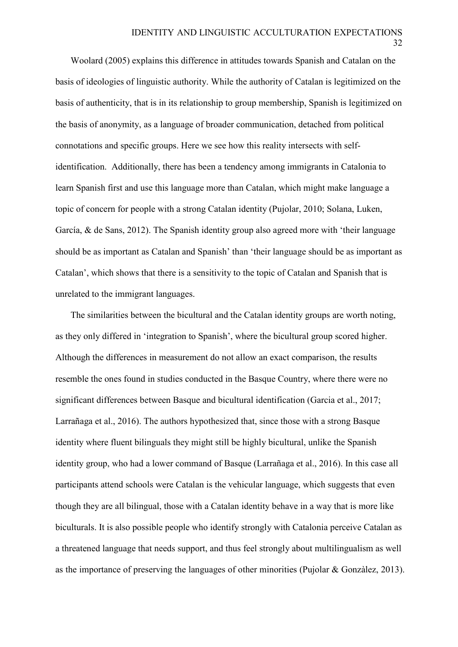Woolard (2005) explains this difference in attitudes towards Spanish and Catalan on the basis of ideologies of linguistic authority. While the authority of Catalan is legitimized on the basis of authenticity, that is in its relationship to group membership, Spanish is legitimized on the basis of anonymity, as a language of broader communication, detached from political connotations and specific groups. Here we see how this reality intersects with selfidentification. Additionally, there has been a tendency among immigrants in Catalonia to learn Spanish first and use this language more than Catalan, which might make language a topic of concern for people with a strong Catalan identity (Pujolar, 2010; Solana, Luken, García, & de Sans, 2012). The Spanish identity group also agreed more with 'their language should be as important as Catalan and Spanish' than 'their language should be as important as Catalan', which shows that there is a sensitivity to the topic of Catalan and Spanish that is unrelated to the immigrant languages.

The similarities between the bicultural and the Catalan identity groups are worth noting, as they only differed in 'integration to Spanish', where the bicultural group scored higher. Although the differences in measurement do not allow an exact comparison, the results resemble the ones found in studies conducted in the Basque Country, where there were no significant differences between Basque and bicultural identification (Garcia et al., 2017; Larrañaga et al., 2016). The authors hypothesized that, since those with a strong Basque identity where fluent bilinguals they might still be highly bicultural, unlike the Spanish identity group, who had a lower command of Basque (Larrañaga et al., 2016). In this case all participants attend schools were Catalan is the vehicular language, which suggests that even though they are all bilingual, those with a Catalan identity behave in a way that is more like biculturals. It is also possible people who identify strongly with Catalonia perceive Catalan as a threatened language that needs support, and thus feel strongly about multilingualism as well as the importance of preserving the languages of other minorities (Pujolar & Gonzàlez, 2013).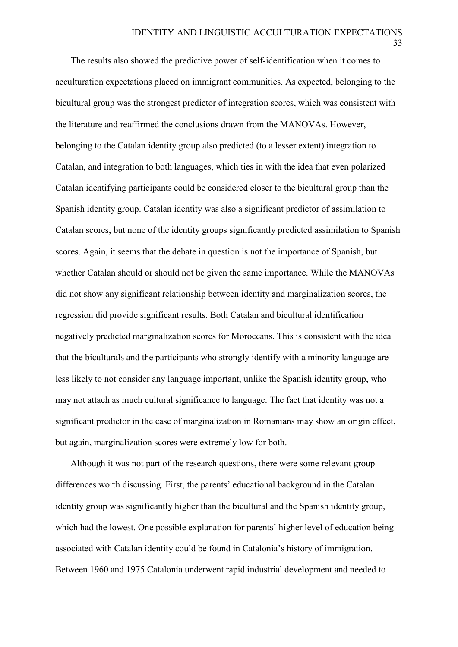33

The results also showed the predictive power of self-identification when it comes to acculturation expectations placed on immigrant communities. As expected, belonging to the bicultural group was the strongest predictor of integration scores, which was consistent with the literature and reaffirmed the conclusions drawn from the MANOVAs. However, belonging to the Catalan identity group also predicted (to a lesser extent) integration to Catalan, and integration to both languages, which ties in with the idea that even polarized Catalan identifying participants could be considered closer to the bicultural group than the Spanish identity group. Catalan identity was also a significant predictor of assimilation to Catalan scores, but none of the identity groups significantly predicted assimilation to Spanish scores. Again, it seems that the debate in question is not the importance of Spanish, but whether Catalan should or should not be given the same importance. While the MANOVAs did not show any significant relationship between identity and marginalization scores, the regression did provide significant results. Both Catalan and bicultural identification negatively predicted marginalization scores for Moroccans. This is consistent with the idea that the biculturals and the participants who strongly identify with a minority language are less likely to not consider any language important, unlike the Spanish identity group, who may not attach as much cultural significance to language. The fact that identity was not a significant predictor in the case of marginalization in Romanians may show an origin effect, but again, marginalization scores were extremely low for both.

Although it was not part of the research questions, there were some relevant group differences worth discussing. First, the parents' educational background in the Catalan identity group was significantly higher than the bicultural and the Spanish identity group, which had the lowest. One possible explanation for parents' higher level of education being associated with Catalan identity could be found in Catalonia's history of immigration. Between 1960 and 1975 Catalonia underwent rapid industrial development and needed to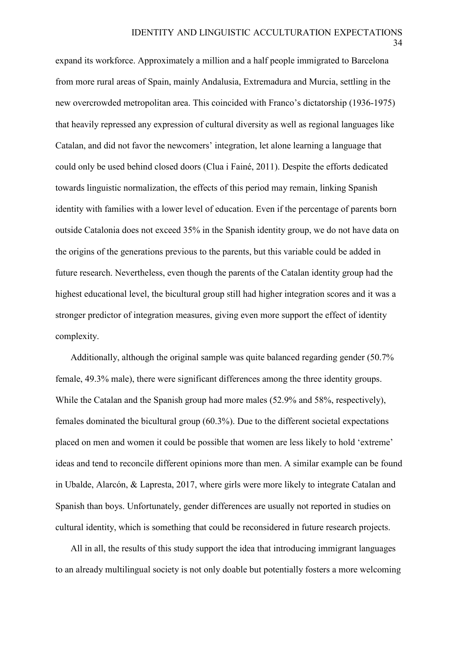34

expand its workforce. Approximately a million and a half people immigrated to Barcelona from more rural areas of Spain, mainly Andalusia, Extremadura and Murcia, settling in the new overcrowded metropolitan area. This coincided with Franco's dictatorship (1936-1975) that heavily repressed any expression of cultural diversity as well as regional languages like Catalan, and did not favor the newcomers' integration, let alone learning a language that could only be used behind closed doors (Clua i Fainé, 2011). Despite the efforts dedicated towards linguistic normalization, the effects of this period may remain, linking Spanish identity with families with a lower level of education. Even if the percentage of parents born outside Catalonia does not exceed 35% in the Spanish identity group, we do not have data on the origins of the generations previous to the parents, but this variable could be added in future research. Nevertheless, even though the parents of the Catalan identity group had the highest educational level, the bicultural group still had higher integration scores and it was a stronger predictor of integration measures, giving even more support the effect of identity complexity.

Additionally, although the original sample was quite balanced regarding gender (50.7% female, 49.3% male), there were significant differences among the three identity groups. While the Catalan and the Spanish group had more males (52.9% and 58%, respectively), females dominated the bicultural group (60.3%). Due to the different societal expectations placed on men and women it could be possible that women are less likely to hold 'extreme' ideas and tend to reconcile different opinions more than men. A similar example can be found in Ubalde, Alarcón, & Lapresta, 2017, where girls were more likely to integrate Catalan and Spanish than boys. Unfortunately, gender differences are usually not reported in studies on cultural identity, which is something that could be reconsidered in future research projects.

All in all, the results of this study support the idea that introducing immigrant languages to an already multilingual society is not only doable but potentially fosters a more welcoming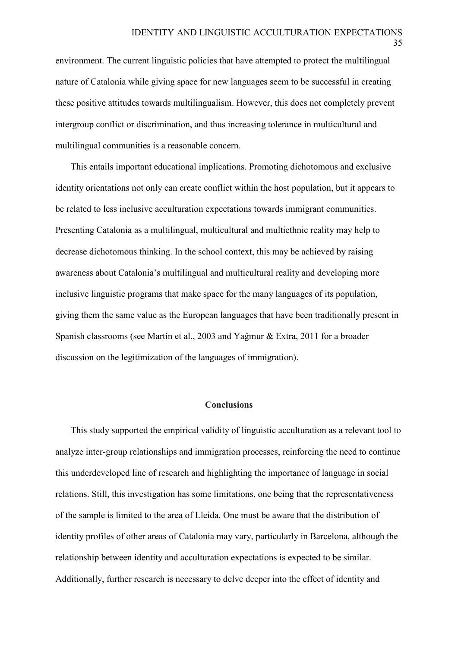environment. The current linguistic policies that have attempted to protect the multilingual nature of Catalonia while giving space for new languages seem to be successful in creating these positive attitudes towards multilingualism. However, this does not completely prevent intergroup conflict or discrimination, and thus increasing tolerance in multicultural and multilingual communities is a reasonable concern.

This entails important educational implications. Promoting dichotomous and exclusive identity orientations not only can create conflict within the host population, but it appears to be related to less inclusive acculturation expectations towards immigrant communities. Presenting Catalonia as a multilingual, multicultural and multiethnic reality may help to decrease dichotomous thinking. In the school context, this may be achieved by raising awareness about Catalonia's multilingual and multicultural reality and developing more inclusive linguistic programs that make space for the many languages of its population, giving them the same value as the European languages that have been traditionally present in Spanish classrooms (see Martín et al., 2003 and Yaĝmur & Extra, 2011 for a broader discussion on the legitimization of the languages of immigration).

## **Conclusions**

This study supported the empirical validity of linguistic acculturation as a relevant tool to analyze inter-group relationships and immigration processes, reinforcing the need to continue this underdeveloped line of research and highlighting the importance of language in social relations. Still, this investigation has some limitations, one being that the representativeness of the sample is limited to the area of Lleida. One must be aware that the distribution of identity profiles of other areas of Catalonia may vary, particularly in Barcelona, although the relationship between identity and acculturation expectations is expected to be similar. Additionally, further research is necessary to delve deeper into the effect of identity and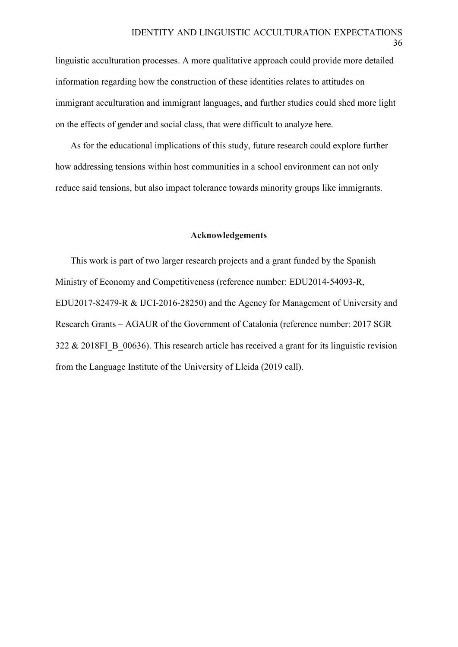linguistic acculturation processes. A more qualitative approach could provide more detailed information regarding how the construction of these identities relates to attitudes on immigrant acculturation and immigrant languages, and further studies could shed more light on the effects of gender and social class, that were difficult to analyze here.

As for the educational implications of this study, future research could explore further how addressing tensions within host communities in a school environment can not only reduce said tensions, but also impact tolerance towards minority groups like immigrants.

#### **Acknowledgements**

This work is part of two larger research projects and a grant funded by the Spanish Ministry of Economy and Competitiveness (reference number: EDU2014-54093-R, EDU2017-82479-R & IJCI-2016-28250) and the Agency for Management of University and Research Grants – AGAUR of the Government of Catalonia (reference number: 2017 SGR 322  $\&$  2018FI B 00636). This research article has received a grant for its linguistic revision from the Language Institute of the University of Lleida (2019 call).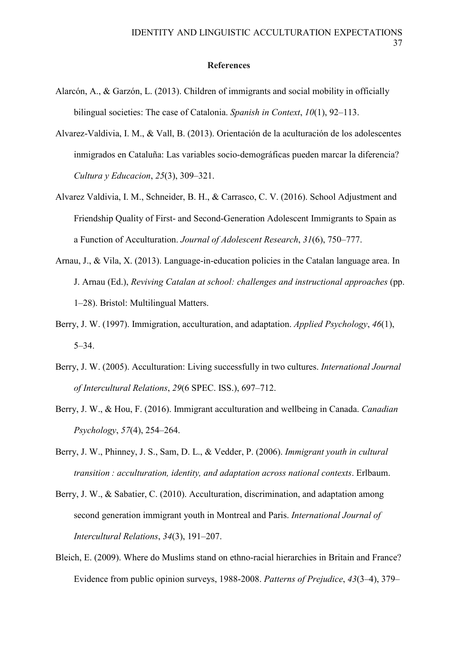## **References**

- Alarcón, A., & Garzón, L. (2013). Children of immigrants and social mobility in officially bilingual societies: The case of Catalonia. *Spanish in Context*, *10*(1), 92–113.
- Alvarez-Valdivia, I. M., & Vall, B. (2013). Orientación de la aculturación de los adolescentes inmigrados en Cataluña: Las variables socio-demográficas pueden marcar la diferencia? *Cultura y Educacion*, *25*(3), 309–321.
- Alvarez Valdivia, I. M., Schneider, B. H., & Carrasco, C. V. (2016). School Adjustment and Friendship Quality of First- and Second-Generation Adolescent Immigrants to Spain as a Function of Acculturation. *Journal of Adolescent Research*, *31*(6), 750–777.
- Arnau, J., & Vila, X. (2013). Language-in-education policies in the Catalan language area. In J. Arnau (Ed.), *Reviving Catalan at school: challenges and instructional approaches* (pp. 1–28). Bristol: Multilingual Matters.
- Berry, J. W. (1997). Immigration, acculturation, and adaptation. *Applied Psychology*, *46*(1), 5–34.
- Berry, J. W. (2005). Acculturation: Living successfully in two cultures. *International Journal of Intercultural Relations*, *29*(6 SPEC. ISS.), 697–712.
- Berry, J. W., & Hou, F. (2016). Immigrant acculturation and wellbeing in Canada. *Canadian Psychology*, *57*(4), 254–264.
- Berry, J. W., Phinney, J. S., Sam, D. L., & Vedder, P. (2006). *Immigrant youth in cultural transition : acculturation, identity, and adaptation across national contexts*. Erlbaum.
- Berry, J. W., & Sabatier, C. (2010). Acculturation, discrimination, and adaptation among second generation immigrant youth in Montreal and Paris. *International Journal of Intercultural Relations*, *34*(3), 191–207.
- Bleich, E. (2009). Where do Muslims stand on ethno-racial hierarchies in Britain and France? Evidence from public opinion surveys, 1988-2008. *Patterns of Prejudice*, *43*(3–4), 379–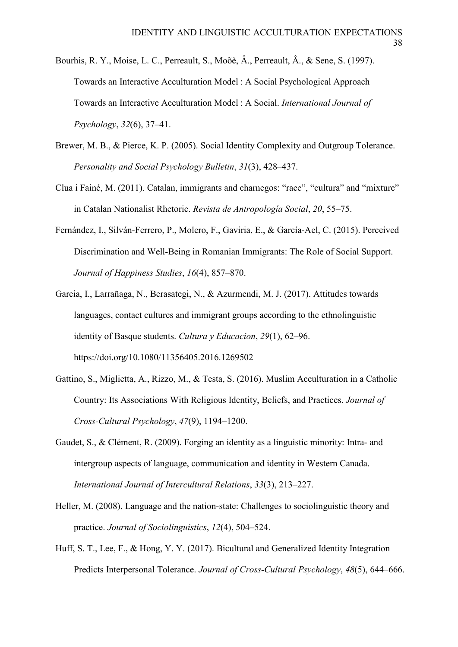- Bourhis, R. Y., Moise, L. C., Perreault, S., Moõè, Â., Perreault, Â., & Sene, S. (1997). Towards an Interactive Acculturation Model : A Social Psychological Approach Towards an Interactive Acculturation Model : A Social. *International Journal of Psychology*, *32*(6), 37–41.
- Brewer, M. B., & Pierce, K. P. (2005). Social Identity Complexity and Outgroup Tolerance. *Personality and Social Psychology Bulletin*, *31*(3), 428–437.
- Clua i Fainé, M. (2011). Catalan, immigrants and charnegos: "race", "cultura" and "mixture" in Catalan Nationalist Rhetoric. *Revista de Antropología Social*, *20*, 55–75.
- Fernández, I., Silván-Ferrero, P., Molero, F., Gaviria, E., & García-Ael, C. (2015). Perceived Discrimination and Well-Being in Romanian Immigrants: The Role of Social Support. *Journal of Happiness Studies*, *16*(4), 857–870.
- Garcia, I., Larrañaga, N., Berasategi, N., & Azurmendi, M. J. (2017). Attitudes towards languages, contact cultures and immigrant groups according to the ethnolinguistic identity of Basque students. *Cultura y Educacion*, *29*(1), 62–96. https://doi.org/10.1080/11356405.2016.1269502
- Gattino, S., Miglietta, A., Rizzo, M., & Testa, S. (2016). Muslim Acculturation in a Catholic Country: Its Associations With Religious Identity, Beliefs, and Practices. *Journal of Cross-Cultural Psychology*, *47*(9), 1194–1200.
- Gaudet, S., & Clément, R. (2009). Forging an identity as a linguistic minority: Intra- and intergroup aspects of language, communication and identity in Western Canada. *International Journal of Intercultural Relations*, *33*(3), 213–227.
- Heller, M. (2008). Language and the nation-state: Challenges to sociolinguistic theory and practice. *Journal of Sociolinguistics*, *12*(4), 504–524.
- Huff, S. T., Lee, F., & Hong, Y. Y. (2017). Bicultural and Generalized Identity Integration Predicts Interpersonal Tolerance. *Journal of Cross-Cultural Psychology*, *48*(5), 644–666.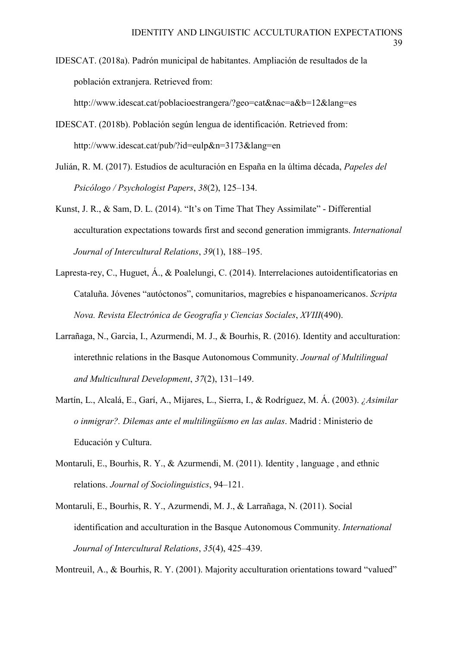IDESCAT. (2018a). Padrón municipal de habitantes. Ampliación de resultados de la población extranjera. Retrieved from:

http://www.idescat.cat/poblacioestrangera/?geo=cat&nac=a&b=12&lang=es

- IDESCAT. (2018b). Población según lengua de identificación. Retrieved from: http://www.idescat.cat/pub/?id=eulp&n=3173&lang=en
- Julián, R. M. (2017). Estudios de aculturación en España en la última década, *Papeles del Psicólogo / Psychologist Papers*, *38*(2), 125–134.
- Kunst, J. R., & Sam, D. L. (2014). "It's on Time That They Assimilate" Differential acculturation expectations towards first and second generation immigrants. *International Journal of Intercultural Relations*, *39*(1), 188–195.
- Lapresta-rey, C., Huguet, Á., & Poalelungi, C. (2014). Interrelaciones autoidentificatorias en Cataluña. Jóvenes "autóctonos", comunitarios, magrebíes e hispanoamericanos. *Scripta Nova. Revista Electrónica de Geografía y Ciencias Sociales*, *XVIII*(490).
- Larrañaga, N., Garcia, I., Azurmendi, M. J., & Bourhis, R. (2016). Identity and acculturation: interethnic relations in the Basque Autonomous Community. *Journal of Multilingual and Multicultural Development*, *37*(2), 131–149.
- Martín, L., Alcalá, E., Garí, A., Mijares, L., Sierra, I., & Rodríguez, M. Á. (2003). *¿Asimilar o inmigrar?. Dilemas ante el multilingüísmo en las aulas*. Madrid : Ministerio de Educación y Cultura.
- Montaruli, E., Bourhis, R. Y., & Azurmendi, M. (2011). Identity , language , and ethnic relations. *Journal of Sociolinguistics*, 94–121.
- Montaruli, E., Bourhis, R. Y., Azurmendi, M. J., & Larrañaga, N. (2011). Social identification and acculturation in the Basque Autonomous Community. *International Journal of Intercultural Relations*, *35*(4), 425–439.

Montreuil, A., & Bourhis, R. Y. (2001). Majority acculturation orientations toward "valued"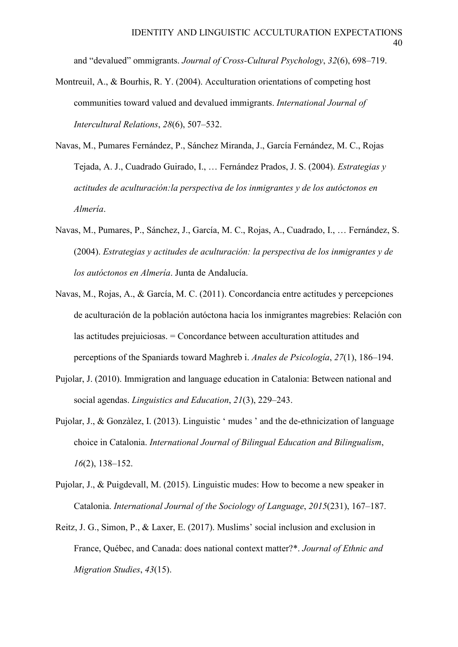and "devalued" ommigrants. *Journal of Cross-Cultural Psychology*, *32*(6), 698–719.

- Montreuil, A., & Bourhis, R. Y. (2004). Acculturation orientations of competing host communities toward valued and devalued immigrants. *International Journal of Intercultural Relations*, *28*(6), 507–532.
- Navas, M., Pumares Fernández, P., Sánchez Miranda, J., García Fernández, M. C., Rojas Tejada, A. J., Cuadrado Guirado, I., … Fernández Prados, J. S. (2004). *Estrategias y actitudes de aculturación:la perspectiva de los inmigrantes y de los autóctonos en Almería*.
- Navas, M., Pumares, P., Sánchez, J., García, M. C., Rojas, A., Cuadrado, I., … Fernández, S. (2004). *Estrategias y actitudes de aculturación: la perspectiva de los inmigrantes y de los autóctonos en Almería*. Junta de Andalucía.
- Navas, M., Rojas, A., & García, M. C. (2011). Concordancia entre actitudes y percepciones de aculturación de la población autóctona hacia los inmigrantes magrebies: Relación con las actitudes prejuiciosas. = Concordance between acculturation attitudes and perceptions of the Spaniards toward Maghreb i. *Anales de Psicología*, *27*(1), 186–194.
- Pujolar, J. (2010). Immigration and language education in Catalonia: Between national and social agendas. *Linguistics and Education*, *21*(3), 229–243.
- Pujolar, J., & Gonzàlez, I. (2013). Linguistic ' mudes ' and the de-ethnicization of language choice in Catalonia. *International Journal of Bilingual Education and Bilingualism*, *16*(2), 138–152.
- Pujolar, J., & Puigdevall, M. (2015). Linguistic mudes: How to become a new speaker in Catalonia. *International Journal of the Sociology of Language*, *2015*(231), 167–187.
- Reitz, J. G., Simon, P., & Laxer, E. (2017). Muslims' social inclusion and exclusion in France, Québec, and Canada: does national context matter?\*. *Journal of Ethnic and Migration Studies*, *43*(15).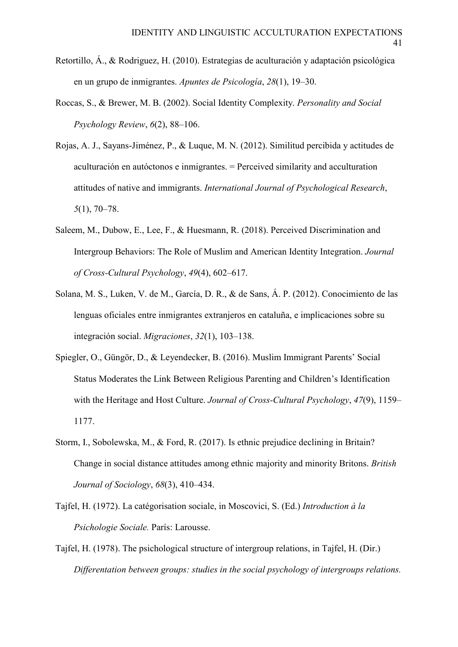- Retortillo, Á., & Rodriguez, H. (2010). Estrategias de aculturación y adaptación psicológica en un grupo de inmigrantes. *Apuntes de Psicología*, *28*(1), 19–30.
- Roccas, S., & Brewer, M. B. (2002). Social Identity Complexity. *Personality and Social Psychology Review*, *6*(2), 88–106.
- Rojas, A. J., Sayans-Jiménez, P., & Luque, M. N. (2012). Similitud percibida y actitudes de aculturación en autóctonos e inmigrantes. = Perceived similarity and acculturation attitudes of native and immigrants. *International Journal of Psychological Research*, *5*(1), 70–78.
- Saleem, M., Dubow, E., Lee, F., & Huesmann, R. (2018). Perceived Discrimination and Intergroup Behaviors: The Role of Muslim and American Identity Integration. *Journal of Cross-Cultural Psychology*, *49*(4), 602–617.
- Solana, M. S., Luken, V. de M., García, D. R., & de Sans, Á. P. (2012). Conocimiento de las lenguas oficiales entre inmigrantes extranjeros en cataluña, e implicaciones sobre su integración social. *Migraciones*, *32*(1), 103–138.
- Spiegler, O., Güngör, D., & Leyendecker, B. (2016). Muslim Immigrant Parents' Social Status Moderates the Link Between Religious Parenting and Children's Identification with the Heritage and Host Culture. *Journal of Cross-Cultural Psychology*, *47*(9), 1159– 1177.
- Storm, I., Sobolewska, M., & Ford, R. (2017). Is ethnic prejudice declining in Britain? Change in social distance attitudes among ethnic majority and minority Britons. *British Journal of Sociology*, *68*(3), 410–434.
- Tajfel, H. (1972). La catégorisation sociale, in Moscovici, S. (Ed.) *Introduction à la Psichologie Sociale.* París: Larousse.
- Tajfel, H. (1978). The psichological structure of intergroup relations, in Tajfel, H. (Dir.) *Differentation between groups: studies in the social psychology of intergroups relations.*